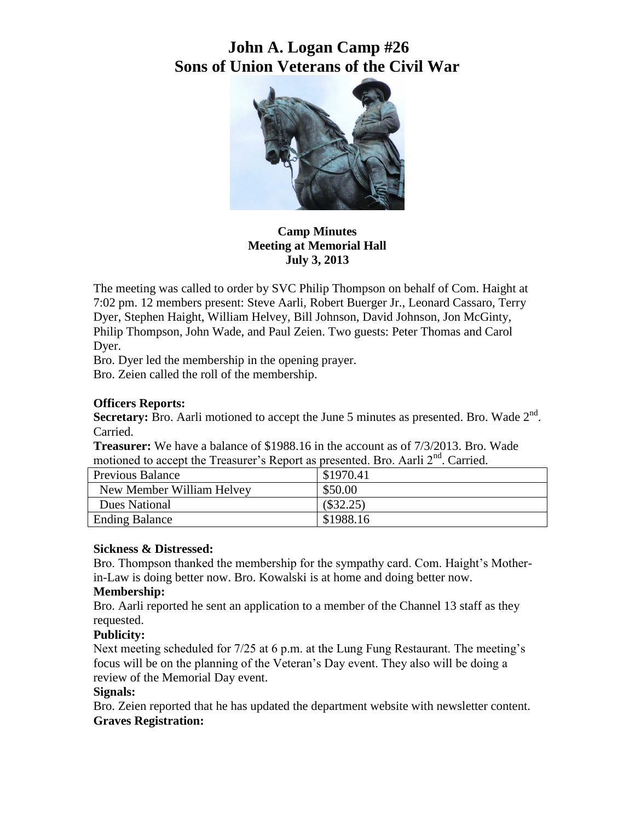# **John A. Logan Camp #26 Sons of Union Veterans of the Civil War**



**Camp Minutes Meeting at Memorial Hall July 3, 2013**

The meeting was called to order by SVC Philip Thompson on behalf of Com. Haight at 7:02 pm. 12 members present: Steve Aarli, Robert Buerger Jr., Leonard Cassaro, Terry Dyer, Stephen Haight, William Helvey, Bill Johnson, David Johnson, Jon McGinty, Philip Thompson, John Wade, and Paul Zeien. Two guests: Peter Thomas and Carol Dyer.

Bro. Dyer led the membership in the opening prayer.

Bro. Zeien called the roll of the membership.

## **Officers Reports:**

Secretary: Bro. Aarli motioned to accept the June 5 minutes as presented. Bro. Wade 2<sup>nd</sup>. Carried.

**Treasurer:** We have a balance of \$1988.16 in the account as of 7/3/2013. Bro. Wade motioned to accept the Treasurer's Report as presented. Bro. Aarli 2<sup>nd</sup>. Carried.

| <b>Previous Balance</b>   | \$1970.41   |
|---------------------------|-------------|
| New Member William Helvey | \$50.00     |
| <b>Dues National</b>      | $(\$32.25)$ |
| <b>Ending Balance</b>     | \$1988.16   |

## **Sickness & Distressed:**

Bro. Thompson thanked the membership for the sympathy card. Com. Haight's Motherin-Law is doing better now. Bro. Kowalski is at home and doing better now.

## **Membership:**

Bro. Aarli reported he sent an application to a member of the Channel 13 staff as they requested.

## **Publicity:**

Next meeting scheduled for 7/25 at 6 p.m. at the Lung Fung Restaurant. The meeting's focus will be on the planning of the Veteran's Day event. They also will be doing a review of the Memorial Day event.

## **Signals:**

Bro. Zeien reported that he has updated the department website with newsletter content. **Graves Registration:**